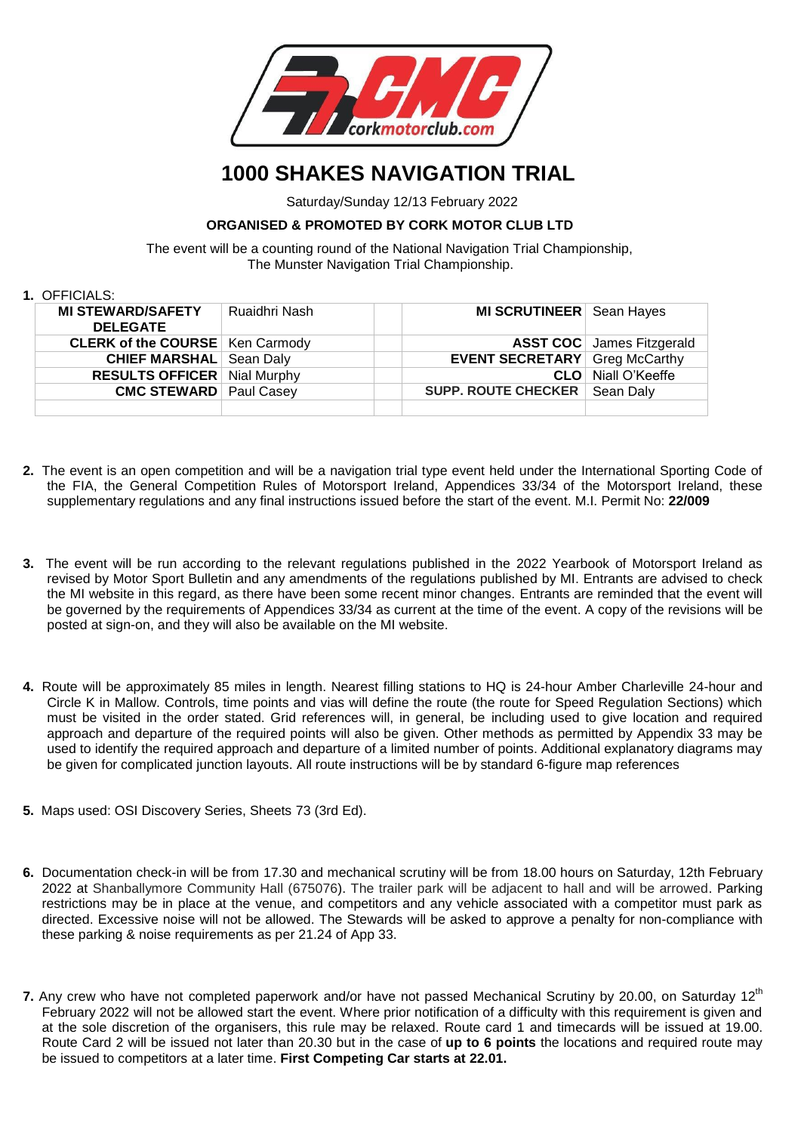

## **1000 SHAKES NAVIGATION TRIAL**

Saturday/Sunday 12/13 February 2022

## **ORGANISED & PROMOTED BY CORK MOTOR CLUB LTD**

 The event will be a counting round of the National Navigation Trial Championship, The Munster Navigation Trial Championship.

## **1.** OFFICIALS:

| . UI I IUIALU.                              |               |  |                                      |                                  |
|---------------------------------------------|---------------|--|--------------------------------------|----------------------------------|
| <b>MI STEWARD/SAFETY</b><br><b>DELEGATE</b> | Ruaidhri Nash |  | MI SCRUTINEER Sean Hayes             |                                  |
| <b>CLERK of the COURSE</b>   Ken Carmody    |               |  |                                      | <b>ASST COC</b> James Fitzgerald |
| <b>CHIEF MARSHAL</b> Sean Daly              |               |  | <b>EVENT SECRETARY</b> Greg McCarthy |                                  |
| <b>RESULTS OFFICER</b> Nial Murphy          |               |  | <b>CLO</b>                           | Niall O'Keeffe                   |
| <b>CMC STEWARD</b> Paul Casey               |               |  | <b>SUPP. ROUTE CHECKER</b>           | Sean Daly                        |
|                                             |               |  |                                      |                                  |

- **2.** The event is an open competition and will be a navigation trial type event held under the International Sporting Code of the FIA, the General Competition Rules of Motorsport Ireland, Appendices 33/34 of the Motorsport Ireland, these supplementary regulations and any final instructions issued before the start of the event. M.I. Permit No: **22/009**
- **3.** The event will be run according to the relevant regulations published in the 2022 Yearbook of Motorsport Ireland as revised by Motor Sport Bulletin and any amendments of the regulations published by MI. Entrants are advised to check the MI website in this regard, as there have been some recent minor changes. Entrants are reminded that the event will be governed by the requirements of Appendices 33/34 as current at the time of the event. A copy of the revisions will be posted at sign-on, and they will also be available on the MI website.
- **4.** Route will be approximately 85 miles in length. Nearest filling stations to HQ is 24-hour Amber Charleville 24-hour and Circle K in Mallow. Controls, time points and vias will define the route (the route for Speed Regulation Sections) which must be visited in the order stated. Grid references will, in general, be including used to give location and required approach and departure of the required points will also be given. Other methods as permitted by Appendix 33 may be used to identify the required approach and departure of a limited number of points. Additional explanatory diagrams may be given for complicated junction layouts. All route instructions will be by standard 6-figure map references
- **5.** Maps used: OSI Discovery Series, Sheets 73 (3rd Ed).
- **6.** Documentation check-in will be from 17.30 and mechanical scrutiny will be from 18.00 hours on Saturday, 12th February 2022 at Shanballymore Community Hall (675076). The trailer park will be adjacent to hall and will be arrowed. Parking restrictions may be in place at the venue, and competitors and any vehicle associated with a competitor must park as directed. Excessive noise will not be allowed. The Stewards will be asked to approve a penalty for non-compliance with these parking & noise requirements as per 21.24 of App 33.
- 7. Any crew who have not completed paperwork and/or have not passed Mechanical Scrutiny by 20.00, on Saturday 12<sup>th</sup> February 2022 will not be allowed start the event. Where prior notification of a difficulty with this requirement is given and at the sole discretion of the organisers, this rule may be relaxed. Route card 1 and timecards will be issued at 19.00. Route Card 2 will be issued not later than 20.30 but in the case of **up to 6 points** the locations and required route may be issued to competitors at a later time. **First Competing Car starts at 22.01.**